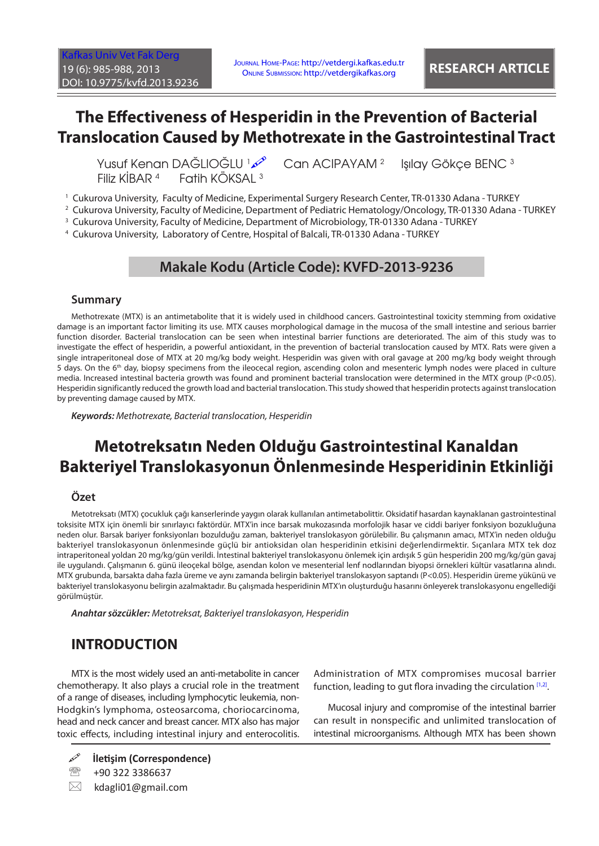# **The Effectiveness of Hesperidin in the Prevention of Bacterial Translocation Caused by Methotrexate in the Gastrointestinal Tract**

Yusuf Kenan DAĞLIOĞLU 1 Can ACIPAYAM <sup>2</sup> Işılay Gökçe BENC <sup>3</sup> Filiz KİBAR <sup>4</sup> Fatih KÖKSAL <sup>3</sup>

1 Cukurova University, Faculty of Medicine, Experimental Surgery Research Center, TR-01330 Adana - TURKEY

2 Cukurova University, Faculty of Medicine, Department of Pediatric Hematology/Oncology, TR-01330 Adana - TURKEY

 $^{\rm 3}$  Cukurova University, Faculty of Medicine, Department of Microbiology, TR-01330 Adana - TURKEY

4 Cukurova University, Laboratory of Centre, Hospital of Balcali, TR-01330 Adana - TURKEY

### **Makale Kodu (Article Code): KVFD-2013-9236**

#### **Summary**

Methotrexate (MTX) is an antimetabolite that it is widely used in childhood cancers. Gastrointestinal toxicity stemming from oxidative damage is an important factor limiting its use. MTX causes morphological damage in the mucosa of the small intestine and serious barrier function disorder. Bacterial translocation can be seen when intestinal barrier functions are deteriorated. The aim of this study was to investigate the effect of hesperidin, a powerful antioxidant, in the prevention of bacterial translocation caused by MTX. Rats were given a single intraperitoneal dose of MTX at 20 mg/kg body weight. Hesperidin was given with oral gavage at 200 mg/kg body weight through 5 days. On the 6th day, biopsy specimens from the ileocecal region, ascending colon and mesenteric lymph nodes were placed in culture media. Increased intestinal bacteria growth was found and prominent bacterial translocation were determined in the MTX group (P<0.05). Hesperidin significantly reduced the growth load and bacterial translocation. This study showed that hesperidin protects against translocation by preventing damage caused by MTX.

*Keywords: Methotrexate, Bacterial translocation, Hesperidin*

# **Metotreksatın Neden Olduğu Gastrointestinal Kanaldan Bakteriyel Translokasyonun Önlenmesinde Hesperidinin Etkinliği**

### **Özet**

Metotreksatı (MTX) çocukluk çağı kanserlerinde yaygın olarak kullanılan antimetabolittir. Oksidatif hasardan kaynaklanan gastrointestinal toksisite MTX için önemli bir sınırlayıcı faktördür. MTX'in ince barsak mukozasında morfolojik hasar ve ciddi bariyer fonksiyon bozukluğuna neden olur. Barsak bariyer fonksiyonları bozulduğu zaman, bakteriyel translokasyon görülebilir. Bu çalışmanın amacı, MTX'in neden olduğu bakteriyel translokasyonun önlenmesinde güçlü bir antioksidan olan hesperidinin etkisini değerlendirmektir. Sıçanlara MTX tek doz intraperitoneal yoldan 20 mg/kg/gün verildi. İntestinal bakteriyel translokasyonu önlemek için ardışık 5 gün hesperidin 200 mg/kg/gün gavaj ile uygulandı. Çalışmanın 6. günü ileoçekal bölge, asendan kolon ve mesenterial lenf nodlarından biyopsi örnekleri kültür vasatlarına alındı. MTX grubunda, barsakta daha fazla üreme ve aynı zamanda belirgin bakteriyel translokasyon saptandı (P<0.05). Hesperidin üreme yükünü ve bakteriyel translokasyonu belirgin azalmaktadır. Bu çalışmada hesperidinin MTX'ın oluşturduğu hasarını önleyerek translokasyonu engellediği görülmüştür.

*Anahtar sözcükler: Metotreksat, Bakteriyel translokasyon, Hesperidin*

### **INTRODUCTION**

MTX is the most widely used an anti-metabolite in cancer chemotherapy. It also plays a crucial role in the treatment of a range of diseases, including lymphocytic leukemia, non-Hodgkin's lymphoma, osteosarcoma, choriocarcinoma, head and neck cancer and breast cancer. MTX also has major toxic effects, including intestinal injury and enterocolitis.

**İletişim (Correspondence)**

<sup>2</sup> +90 322 3386637

 $\boxtimes$  kdagli01@gmail.com

Administration of MTX compromises mucosal barrier function, leading to gut flora invading the circulation  $[1,2]$ .

Mucosal injury and compromise of the intestinal barrier can result in nonspecific and unlimited translocation of intestinal microorganisms. Although MTX has been shown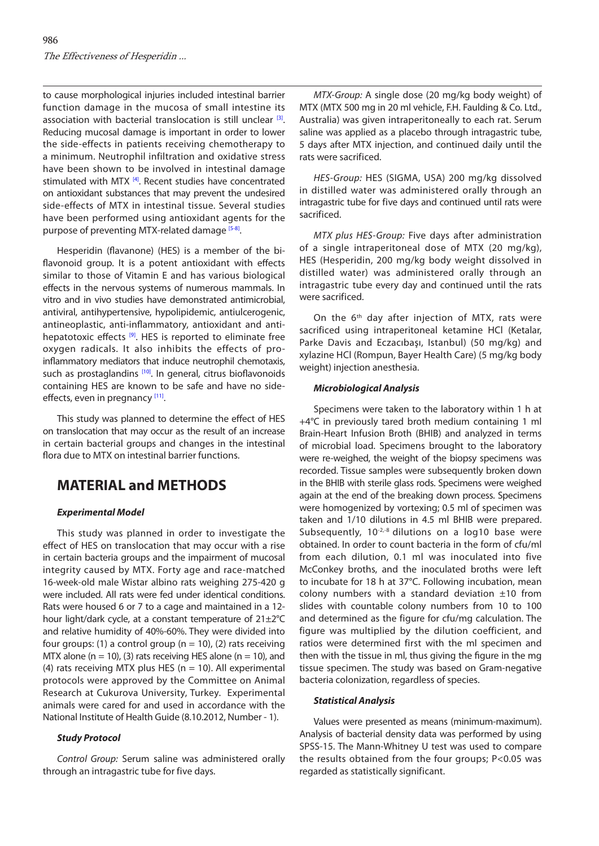to cause morphological injuries included intestinal barrier function damage in the mucosa of small intestine its association with bacterial translocation is still unclear [[3\].](#page-3-0) Reducing mucosal damage is important in order to lower the side-effects in patients receiving chemotherapy to a minimum. Neutrophil infiltration and oxidative stress have been shown to be involved in intestinal damage stimulated with MTX <sup>[4]</sup>. Recent studies have concentrated on antioxidant substances that may prevent the undesired side-effects of MTX in intestinal tissue. Several studies have been performed using antioxidant agents for the purpose of preventing MTX-related damag[e \[5-8\]](#page-3-0).

Hesperidin (flavanone) (HES) is a member of the biflavonoid group. It is a potent antioxidant with effects similar to those of Vitamin E and has various biological effects in the nervous systems of numerous mammals. In vitro and in vivo studies have demonstrated antimicrobial, antiviral, antihypertensive, hypolipidemic, antiulcerogenic, antineoplastic, anti-inflammatory, antioxidant and antihepatotoxic effects<sup>[9]</sup>. HES is reported to eliminate free oxygen radicals. It also inhibits the effects of proinflammatory mediators that induce neutrophil chemotaxis, such as prostaglandins<sup>[10]</sup>. In general, citrus bioflavonoids containing HES are known to be safe and have no sideeffects, even in pregnancy<sup>[11]</sup>.

This study was planned to determine the effect of HES on translocation that may occur as the result of an increase in certain bacterial groups and changes in the intestinal flora due to MTX on intestinal barrier functions.

# **MATERIAL and METHODS**

#### *Experimental Model*

This study was planned in order to investigate the effect of HES on translocation that may occur with a rise in certain bacteria groups and the impairment of mucosal integrity caused by MTX. Forty age and race-matched 16-week-old male Wistar albino rats weighing 275-420 g were included. All rats were fed under identical conditions. Rats were housed 6 or 7 to a cage and maintained in a 12 hour light/dark cycle, at a constant temperature of 21±2°C and relative humidity of 40%-60%. They were divided into four groups: (1) a control group ( $n = 10$ ), (2) rats receiving MTX alone ( $n = 10$ ), (3) rats receiving HES alone ( $n = 10$ ), and (4) rats receiving MTX plus HES ( $n = 10$ ). All experimental protocols were approved by the Committee on Animal Research at Cukurova University, Turkey. Experimental animals were cared for and used in accordance with the National Institute of Health Guide (8.10.2012, Number - 1).

### *Study Protocol*

*Control Group:* Serum saline was administered orally through an intragastric tube for five days.

*MTX-Group:* A single dose (20 mg/kg body weight) of MTX (MTX 500 mg in 20 ml vehicle, F.H. Faulding & Co. Ltd., Australia) was given intraperitoneally to each rat. Serum saline was applied as a placebo through intragastric tube, 5 days after MTX injection, and continued daily until the rats were sacrificed.

*HES-Group:* HES (SIGMA, USA) 200 mg/kg dissolved in distilled water was administered orally through an intragastric tube for five days and continued until rats were sacrificed.

*MTX plus HES-Group:* Five days after administration of a single intraperitoneal dose of MTX (20 mg/kg), HES (Hesperidin, 200 mg/kg body weight dissolved in distilled water) was administered orally through an intragastric tube every day and continued until the rats were sacrificed.

On the  $6<sup>th</sup>$  day after injection of MTX, rats were sacrificed using intraperitoneal ketamine HCl (Ketalar, Parke Davis and Eczacıbaşı, Istanbul) (50 mg/kg) and xylazine HCl (Rompun, Bayer Health Care) (5 mg/kg body weight) injection anesthesia.

### *Microbiological Analysis*

Specimens were taken to the laboratory within 1 h at +4°C in previously tared broth medium containing 1 ml Brain-Heart Infusion Broth (BHIB) and analyzed in terms of microbial load. Specimens brought to the laboratory were re-weighed, the weight of the biopsy specimens was recorded. Tissue samples were subsequently broken down in the BHIB with sterile glass rods. Specimens were weighed again at the end of the breaking down process. Specimens were homogenized by vortexing; 0.5 ml of specimen was taken and 1/10 dilutions in 4.5 ml BHIB were prepared. Subsequently,  $10^{-2.58}$  dilutions on a log10 base were obtained. In order to count bacteria in the form of cfu/ml from each dilution, 0.1 ml was inoculated into five McConkey broths, and the inoculated broths were left to incubate for 18 h at 37°C. Following incubation, mean colony numbers with a standard deviation  $\pm 10$  from slides with countable colony numbers from 10 to 100 and determined as the figure for cfu/mg calculation. The figure was multiplied by the dilution coefficient, and ratios were determined first with the ml specimen and then with the tissue in ml, thus giving the figure in the mg tissue specimen. The study was based on Gram-negative bacteria colonization, regardless of species.

#### *Statistical Analysis*

Values were presented as means (minimum-maximum). Analysis of bacterial density data was performed by using SPSS-15. The Mann-Whitney U test was used to compare the results obtained from the four groups; P<0.05 was regarded as statistically significant.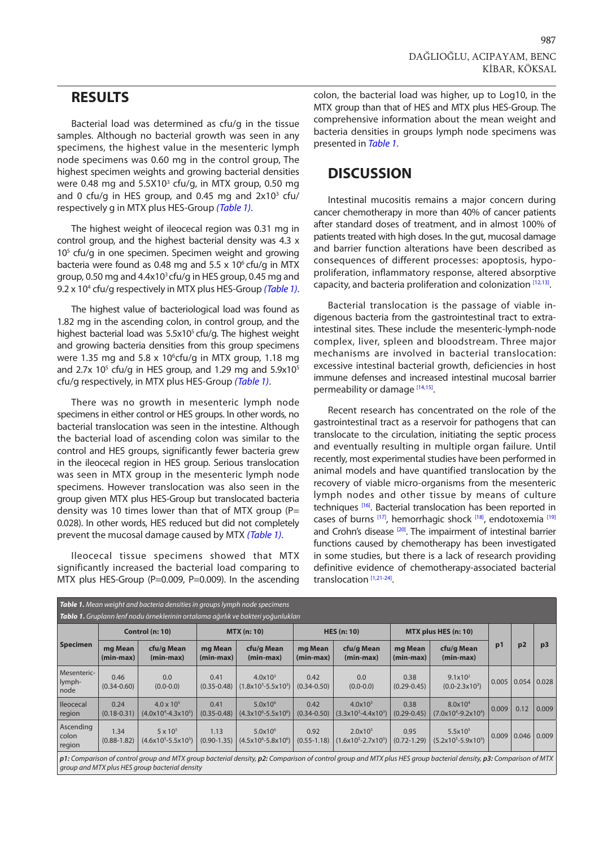# **RESULTS**

Bacterial load was determined as cfu/g in the tissue samples. Although no bacterial growth was seen in any specimens, the highest value in the mesenteric lymph node specimens was 0.60 mg in the control group, The highest specimen weights and growing bacterial densities were 0.48 mg and 5.5X10<sup>3</sup> cfu/g, in MTX group, 0.50 mg and 0 cfu/g in HES group, and 0.45 mg and  $2x10^3$  cfu/ respectively g in MTX plus HES-Group *(Table 1)*.

The highest weight of ileocecal region was 0.31 mg in control group, and the highest bacterial density was 4.3 x 10<sup>5</sup> cfu/g in one specimen. Specimen weight and growing bacteria were found as 0.48 mg and  $5.5 \times 10^6$  cfu/g in MTX group, 0.50 mg and  $4.4x10<sup>3</sup>$  cfu/g in HES group, 0.45 mg and 9.2 x 104 cfu/g respectively in MTX plus HES-Group *(Table 1)*.

The highest value of bacteriological load was found as 1.82 mg in the ascending colon, in control group, and the highest bacterial load was 5.5x10<sup>5</sup> cfu/g. The highest weight and growing bacteria densities from this group specimens were 1.35 mg and  $5.8 \times 10^6$ cfu/g in MTX group, 1.18 mg and 2.7x 10<sup>5</sup> cfu/g in HES group, and 1.29 mg and 5.9x10<sup>5</sup> cfu/g respectively, in MTX plus HES-Group *(Table 1)*.

There was no growth in mesenteric lymph node specimens in either control or HES groups. In other words, no bacterial translocation was seen in the intestine. Although the bacterial load of ascending colon was similar to the control and HES groups, significantly fewer bacteria grew in the ileocecal region in HES group. Serious translocation was seen in MTX group in the mesenteric lymph node specimens. However translocation was also seen in the group given MTX plus HES-Group but translocated bacteria density was 10 times lower than that of MTX group ( $P=$ 0.028). In other words, HES reduced but did not completely prevent the mucosal damage caused by MTX *(Table 1)*.

Ileocecal tissue specimens showed that MTX significantly increased the bacterial load comparing to MTX plus HES-Group (P=0.009, P=0.009). In the ascending colon, the bacterial load was higher, up to Log10, in the MTX group than that of HES and MTX plus HES-Group. The comprehensive information about the mean weight and bacteria densities in groups lymph node specimens was presented in *Table 1*.

## **DISCUSSION**

Intestinal mucositis remains a major concern during cancer chemotherapy in more than 40% of cancer patients after standard doses of treatment, and in almost 100% of patients treated with high doses. In the gut, mucosal damage and barrier function alterations have been described as consequences of different processes: apoptosis, hypoproliferation, inflammatory response, altered absorptive capacity, and bacteria proliferation and colonization [\[12,13\].](#page-3-0)

Bacterial translocation is the passage of viable indigenous bacteria from the gastrointestinal tract to extraintestinal sites. These include the mesenteric-lymph-node complex, liver, spleen and bloodstream. Three major mechanisms are involved in bacterial translocation: excessive intestinal bacterial growth, deficiencies in host immune defenses and increased intestinal mucosal barrier permeability or damage [[14,15\].](#page-3-0)

Recent research has concentrated on the role of the gastrointestinal tract as a reservoir for pathogens that can translocate to the circulation, initiating the septic process and eventually resulting in multiple organ failure. Until recently, most experimental studies have been performed in animal models and have quantified translocation by the recovery of viable micro-organisms from the mesenteric lymph nodes and other tissue by means of culture techniques<sup>[16]</sup>. Bacterial translocation has been reported in cases of burns [[17\],](#page-3-0) hemorrhagic shock [[18\],](#page-3-0) endotoxemia [\[19\]](#page-3-0) and Crohn's disease [\[20\].](#page-3-0) The impairment of intestinal barrier functions caused by chemotherapy has been investigated in some studies, but there is a lack of research providing definitive evidence of chemotherapy-associated bacterial translocation [\[1,21-24\].](#page-3-0)

| Table 1. Mean weight and bacteria densities in groups lymph node specimens                                                                                                                                                  |                         |                                            |                         |                                     |                         |                                     |                         |                                            |                |       |       |
|-----------------------------------------------------------------------------------------------------------------------------------------------------------------------------------------------------------------------------|-------------------------|--------------------------------------------|-------------------------|-------------------------------------|-------------------------|-------------------------------------|-------------------------|--------------------------------------------|----------------|-------|-------|
| <b>Tablo 1.</b> Grupların lenf nodu örneklerinin ortalama ağırlık ve bakteri yoğunlukları                                                                                                                                   |                         |                                            |                         |                                     |                         |                                     |                         |                                            |                |       |       |
| Specimen                                                                                                                                                                                                                    | Control (n: 10)         |                                            | <b>MTX (n: 10)</b>      |                                     | <b>HES (n: 10)</b>      |                                     | MTX plus HES (n: 10)    |                                            |                |       |       |
|                                                                                                                                                                                                                             | mg Mean<br>$(min-max)$  | cfu/g Mean<br>(min-max)                    | mg Mean<br>$(min-max)$  | cfu/g Mean<br>(min-max)             | mg Mean<br>$(min-max)$  | cfu/g Mean<br>$(min-max)$           | mg Mean<br>(min-max)    | cfu/g Mean<br>(min-max)                    | p <sub>1</sub> | p2    | p3    |
| Mesenteric-<br>lymph-<br>  node                                                                                                                                                                                             | 0.46<br>$(0.34 - 0.60)$ | 0.0<br>$(0.0 - 0.0)$                       | 0.41<br>$(0.35 - 0.48)$ | $4.0x10^{3}$<br>$(1.8x103-5.5x103)$ | 0.42<br>$(0.34 - 0.50)$ | 0.0<br>$(0.0 - 0.0)$                | 0.38<br>$(0.29 - 0.45)$ | $9.1x10^2$<br>$(0.0-2.3x10^3)$             | 0.005          | 0.054 | 0.028 |
| <b>Ileocecal</b><br>region                                                                                                                                                                                                  | 0.24<br>$(0.18 - 0.31)$ | $4.0 \times 10^{5}$<br>$(4.0x104-4.3x105)$ | 0.41<br>$(0.35 - 0.48)$ | $5.0x10^6$<br>$(4.3x106-5.5x106)$   | 0.42<br>$(0.34 - 0.50)$ | $4.0x10^3$<br>$(3.3x103-4.4x103)$   | 0.38<br>$(0.29 - 0.45)$ | 8.0x10 <sup>4</sup><br>$(7.0x104-9.2x104)$ | 0.009          | 0.12  | 0.009 |
| Ascending<br>colon<br>region                                                                                                                                                                                                | 1.34<br>$(0.88 - 1.82)$ | $5 \times 10^{5}$<br>$(4.6x105-5.5x105)$   | 1.13<br>$(0.90 - 1.35)$ | $5.0x10^6$<br>$(4.5x106-5.8x106)$   | 0.92<br>$(0.55 - 1.18)$ | $2.0x10^{5}$<br>$(1.6x105-2.7x105)$ | 0.95<br>$(0.72 - 1.29)$ | $5.5x10^5$<br>$(5.2x105-5.9x105)$          | 0.009          | 0.046 | 0.009 |
| $p1$ : Comparison of control group and MTX group bacterial density, $p2$ : Comparison of control group and MTX plus HES group bacterial density, $p3$ : Comparison of MTX<br>group and MTX plus HES group bacterial density |                         |                                            |                         |                                     |                         |                                     |                         |                                            |                |       |       |